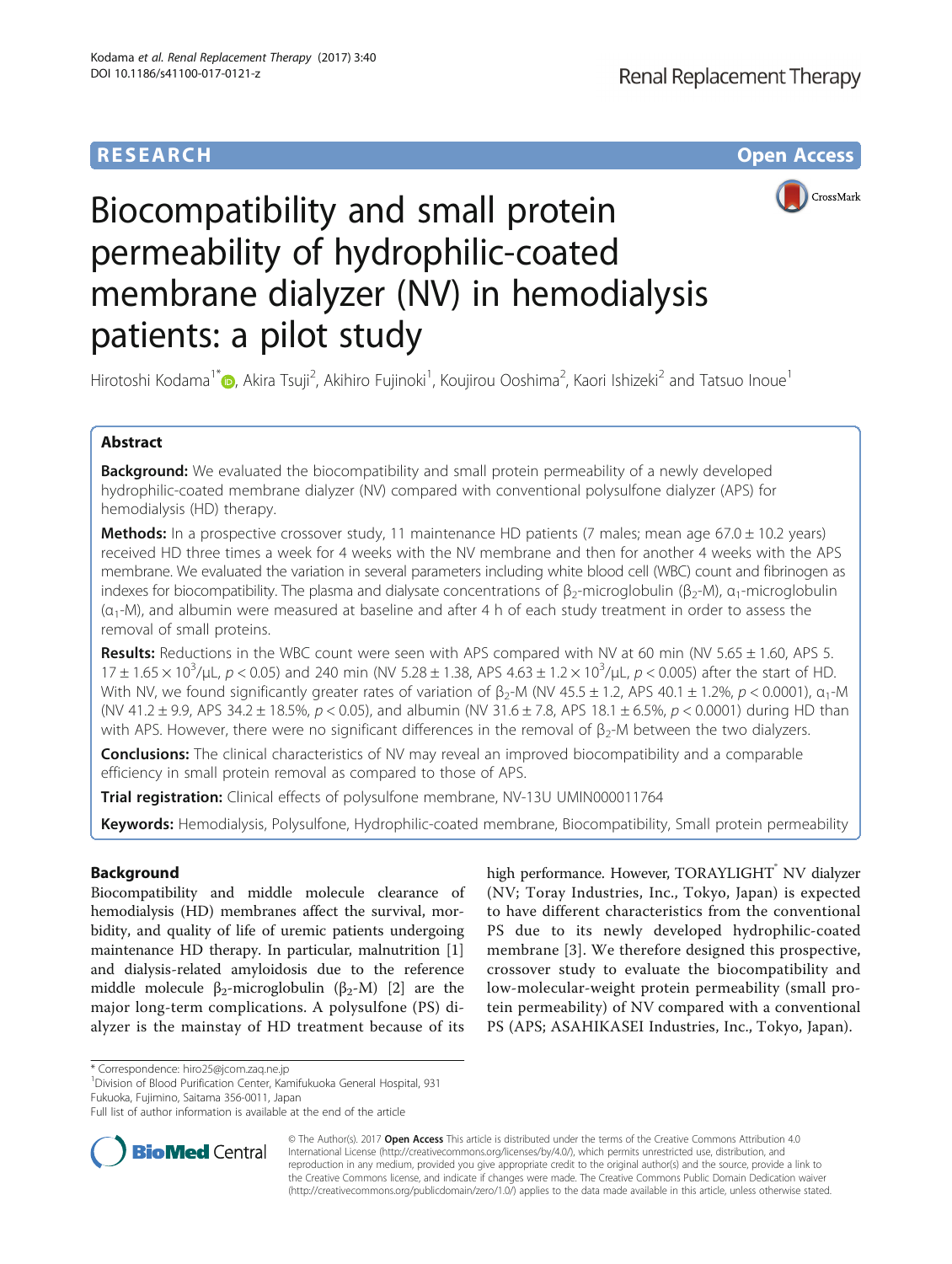

# Biocompatibility and small protein permeability of hydrophilic-coated membrane dialyzer (NV) in hemodialysis patients: a pilot study

Hirotoshi Kodama<sup>1[\\*](http://orcid.org/0000-0002-2251-2037)</sup>©, Akira Tsuji<sup>2</sup>, Akihiro Fujinoki<sup>1</sup>, Koujirou Ooshima<sup>2</sup>, Kaori Ishizeki<sup>2</sup> and Tatsuo Inoue<sup>1</sup>

# Abstract

**Background:** We evaluated the biocompatibility and small protein permeability of a newly developed hydrophilic-coated membrane dialyzer (NV) compared with conventional polysulfone dialyzer (APS) for hemodialysis (HD) therapy.

**Methods:** In a prospective crossover study, 11 maintenance HD patients (7 males; mean age 67.0  $\pm$  10.2 years) received HD three times a week for 4 weeks with the NV membrane and then for another 4 weeks with the APS membrane. We evaluated the variation in several parameters including white blood cell (WBC) count and fibrinogen as indexes for biocompatibility. The plasma and dialysate concentrations of  $\beta_2$ -microglobulin ( $\beta_2$ -M),  $\alpha_1$ -microglobulin  $(\alpha_1-M)$ , and albumin were measured at baseline and after 4 h of each study treatment in order to assess the removal of small proteins.

Results: Reductions in the WBC count were seen with APS compared with NV at 60 min (NV 5.65 ± 1.60, APS 5.  $17 \pm 1.65 \times 10^3$ /µL,  $p < 0.05$ ) and 240 min (NV 5.28  $\pm$  1.38, APS 4.63  $\pm$  1.2  $\times$  10<sup>3</sup>/µL,  $p < 0.005$ ) after the start of HD. With NV, we found significantly greater rates of variation of  $\beta_2$ -M (NV 45.5 ± 1.2, APS 40.1 ± 1.2%, p < 0.0001),  $\alpha_1$ -M (NV 41.2  $\pm$  9.9, APS 34.2  $\pm$  18.5%, p < 0.05), and albumin (NV 31.6  $\pm$  7.8, APS 18.1  $\pm$  6.5%, p < 0.0001) during HD than with APS. However, there were no significant differences in the removal of  $\beta_2$ -M between the two dialyzers.

**Conclusions:** The clinical characteristics of NV may reveal an improved biocompatibility and a comparable efficiency in small protein removal as compared to those of APS.

**Trial registration:** Clinical effects of polysulfone membrane, NV-13U [UMIN000011764](https://upload.umin.ac.jp/cgi-open-bin/ctr_e/ctr_view.cgi?recptno=R000013756)

Keywords: Hemodialysis, Polysulfone, Hydrophilic-coated membrane, Biocompatibility, Small protein permeability

# Background

Biocompatibility and middle molecule clearance of hemodialysis (HD) membranes affect the survival, morbidity, and quality of life of uremic patients undergoing maintenance HD therapy. In particular, malnutrition [\[1](#page-4-0)] and dialysis-related amyloidosis due to the reference middle molecule β<sub>[2](#page-4-0)</sub>-microglobulin (β<sub>2</sub>-M) [2] are the major long-term complications. A polysulfone (PS) dialyzer is the mainstay of HD treatment because of its

high performance. However, TORAYLIGHT<sup>®</sup> NV dialyzer (NV; Toray Industries, Inc., Tokyo, Japan) is expected to have different characteristics from the conventional PS due to its newly developed hydrophilic-coated membrane [\[3](#page-4-0)]. We therefore designed this prospective, crossover study to evaluate the biocompatibility and low-molecular-weight protein permeability (small protein permeability) of NV compared with a conventional PS (APS; ASAHIKASEI Industries, Inc., Tokyo, Japan).

\* Correspondence: [hiro25@jcom.zaq.ne.jp](mailto:hiro25@jcom.zaq.ne.jp) <sup>1</sup>

<sup>1</sup> Division of Blood Purification Center, Kamifukuoka General Hospital, 931 Fukuoka, Fujimino, Saitama 356-0011, Japan

Full list of author information is available at the end of the article



© The Author(s). 2017 **Open Access** This article is distributed under the terms of the Creative Commons Attribution 4.0 International License [\(http://creativecommons.org/licenses/by/4.0/](http://creativecommons.org/licenses/by/4.0/)), which permits unrestricted use, distribution, and reproduction in any medium, provided you give appropriate credit to the original author(s) and the source, provide a link to the Creative Commons license, and indicate if changes were made. The Creative Commons Public Domain Dedication waiver [\(http://creativecommons.org/publicdomain/zero/1.0/](http://creativecommons.org/publicdomain/zero/1.0/)) applies to the data made available in this article, unless otherwise stated.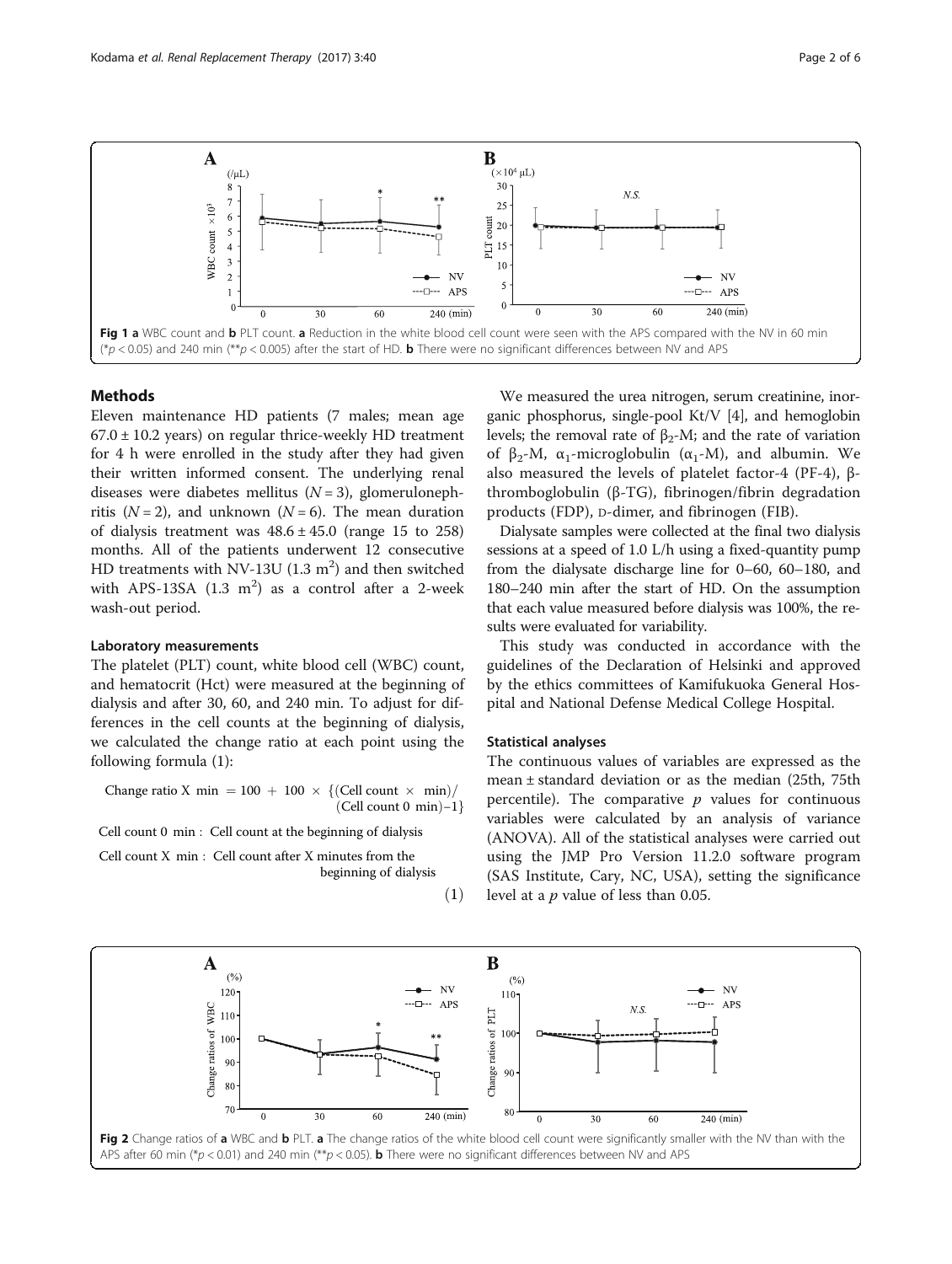<span id="page-1-0"></span>

# Methods

Eleven maintenance HD patients (7 males; mean age  $67.0 \pm 10.2$  years) on regular thrice-weekly HD treatment for 4 h were enrolled in the study after they had given their written informed consent. The underlying renal diseases were diabetes mellitus  $(N = 3)$ , glomerulonephritis ( $N = 2$ ), and unknown ( $N = 6$ ). The mean duration of dialysis treatment was  $48.6 \pm 45.0$  (range 15 to 258) months. All of the patients underwent 12 consecutive HD treatments with NV-13U  $(1.3 \text{ m}^2)$  and then switched with APS-13SA  $(1.3 \text{ m}^2)$  as a control after a 2-week wash-out period.

### Laboratory measurements

The platelet (PLT) count, white blood cell (WBC) count, and hematocrit (Hct) were measured at the beginning of dialysis and after 30, 60, and 240 min. To adjust for differences in the cell counts at the beginning of dialysis, we calculated the change ratio at each point using the following formula (1):

Change ratio X min =  $100 + 100 \times \{(\text{Cell count} \times \text{min})/(\text{Cell count 0 min})\}$  $(Cell count 0 min) -1$ }

Cell count 0 min : Cell count at the beginning of dialysis

Cell count X min : Cell count after X minutes from the beginning of dialysis

 $(1)$ 

We measured the urea nitrogen, serum creatinine, inorganic phosphorus, single-pool Kt/V [\[4\]](#page-4-0), and hemoglobin levels; the removal rate of  $β_2$ -M; and the rate of variation of β<sub>2</sub>-M, α<sub>1</sub>-microglobulin (α<sub>1</sub>-M), and albumin. We also measured the levels of platelet factor-4 (PF-4), βthromboglobulin (β-TG), fibrinogen/fibrin degradation products (FDP), D-dimer, and fibrinogen (FIB).

Dialysate samples were collected at the final two dialysis sessions at a speed of 1.0 L/h using a fixed-quantity pump from the dialysate discharge line for 0–60, 60–180, and 180–240 min after the start of HD. On the assumption that each value measured before dialysis was 100%, the results were evaluated for variability.

This study was conducted in accordance with the guidelines of the Declaration of Helsinki and approved by the ethics committees of Kamifukuoka General Hospital and National Defense Medical College Hospital.

#### Statistical analyses

The continuous values of variables are expressed as the mean ± standard deviation or as the median (25th, 75th percentile). The comparative  $p$  values for continuous variables were calculated by an analysis of variance (ANOVA). All of the statistical analyses were carried out using the JMP Pro Version 11.2.0 software program (SAS Institute, Cary, NC, USA), setting the significance level at a  $p$  value of less than 0.05.

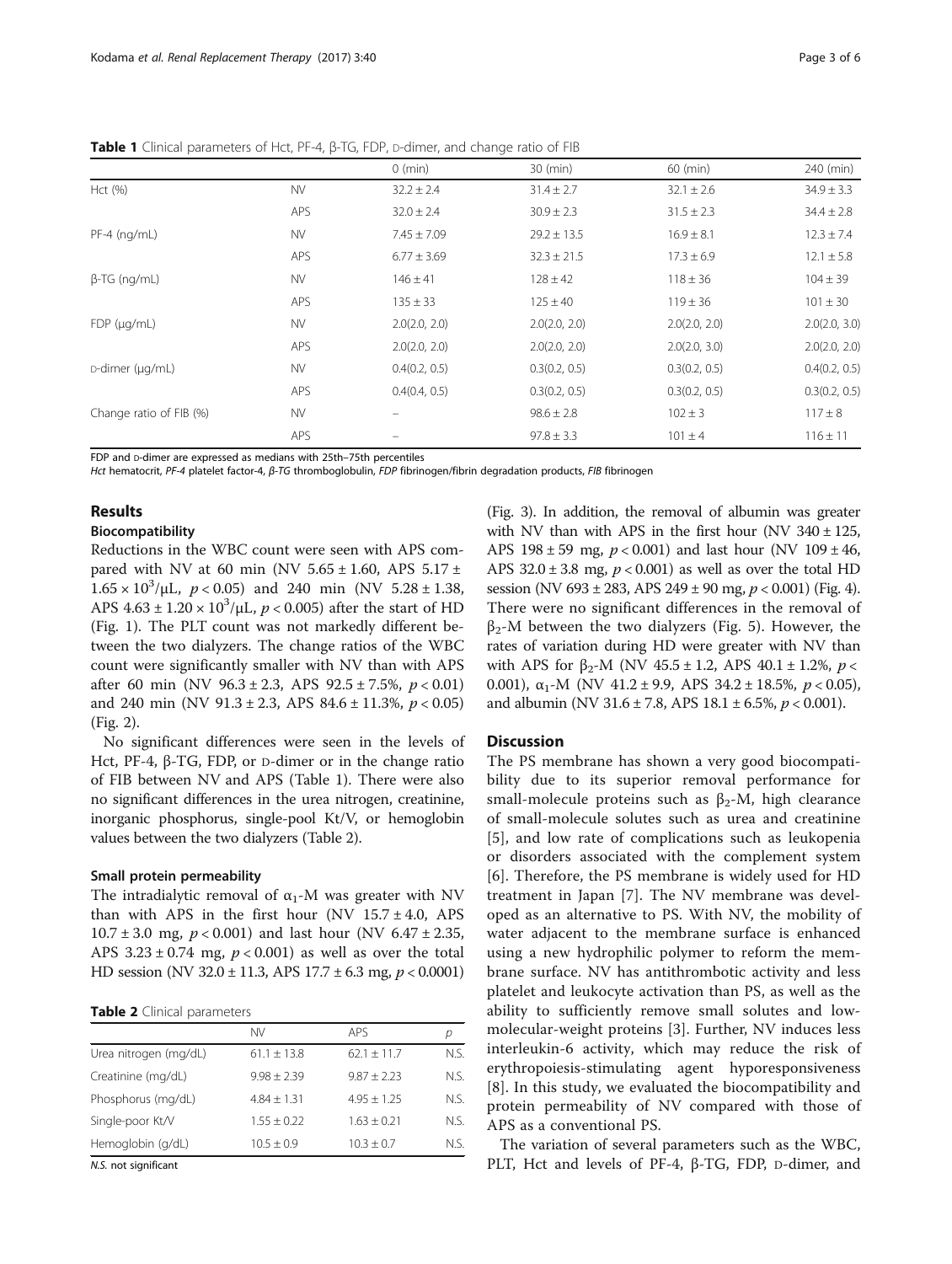|                         |            | $0 \text{ (min)}$ | 30 (min)        | 60 (min)       | 240 (min)      |
|-------------------------|------------|-------------------|-----------------|----------------|----------------|
| Hct (%)                 | <b>NV</b>  | $32.2 \pm 2.4$    | $31.4 \pm 2.7$  | $32.1 \pm 2.6$ | $34.9 \pm 3.3$ |
|                         | <b>APS</b> | $32.0 \pm 2.4$    | $30.9 \pm 2.3$  | $31.5 \pm 2.3$ | $34.4 \pm 2.8$ |
| $PF-4$ (ng/mL)          | <b>NV</b>  | $7.45 \pm 7.09$   | $29.2 \pm 13.5$ | $16.9 \pm 8.1$ | $12.3 \pm 7.4$ |
|                         | <b>APS</b> | $6.77 \pm 3.69$   | $32.3 \pm 21.5$ | $17.3 \pm 6.9$ | $12.1 \pm 5.8$ |
| $\beta$ -TG (ng/mL)     | <b>NV</b>  | $146 \pm 41$      | $128 \pm 42$    | $118 \pm 36$   | $104 \pm 39$   |
|                         | <b>APS</b> | $135 \pm 33$      | $125 \pm 40$    | $119 \pm 36$   | $101 \pm 30$   |
| $FDP$ ( $\mu$ g/mL)     | <b>NV</b>  | 2.0(2.0, 2.0)     | 2.0(2.0, 2.0)   | 2.0(2.0, 2.0)  | 2.0(2.0, 3.0)  |
|                         | <b>APS</b> | 2.0(2.0, 2.0)     | 2.0(2.0, 2.0)   | 2.0(2.0, 3.0)  | 2.0(2.0, 2.0)  |
| D-dimer (µg/mL)         | <b>NV</b>  | 0.4(0.2, 0.5)     | 0.3(0.2, 0.5)   | 0.3(0.2, 0.5)  | 0.4(0.2, 0.5)  |
|                         | <b>APS</b> | 0.4(0.4, 0.5)     | 0.3(0.2, 0.5)   | 0.3(0.2, 0.5)  | 0.3(0.2, 0.5)  |
| Change ratio of FIB (%) | <b>NV</b>  |                   | $98.6 \pm 2.8$  | $102 \pm 3$    | $117 \pm 8$    |
|                         | <b>APS</b> |                   | $97.8 \pm 3.3$  | $101 \pm 4$    | $116 \pm 11$   |

Table 1 Clinical parameters of Hct, PF-4, β-TG, FDP, D-dimer, and change ratio of FIB

FDP and D-dimer are expressed as medians with 25th–75th percentiles

Hct hematocrit, PF-4 platelet factor-4, β-TG thromboglobulin, FDP fibrinogen/fibrin degradation products, FIB fibrinogen

# Results

# Biocompatibility

Reductions in the WBC count were seen with APS compared with NV at 60 min (NV  $5.65 \pm 1.60$ , APS  $5.17 \pm$  $1.65 \times 10^3/\mu L$ ,  $p < 0.05$ ) and 240 min (NV 5.28 ± 1.38, APS  $4.63 \pm 1.20 \times 10^3/\mu L$ ,  $p < 0.005$ ) after the start of HD (Fig. [1](#page-1-0)). The PLT count was not markedly different between the two dialyzers. The change ratios of the WBC count were significantly smaller with NV than with APS after 60 min (NV 96.3 ± 2.3, APS 92.5 ± 7.5%,  $p < 0.01$ ) and 240 min (NV 91.3 ± 2.3, APS 84.6 ± 11.3%,  $p < 0.05$ ) (Fig. [2](#page-1-0)).

No significant differences were seen in the levels of Hct, PF-4, β-TG, FDP, or D-dimer or in the change ratio of FIB between NV and APS (Table 1). There were also no significant differences in the urea nitrogen, creatinine, inorganic phosphorus, single-pool Kt/V, or hemoglobin values between the two dialyzers (Table 2).

## Small protein permeability

The intradialytic removal of  $\alpha_1$ -M was greater with NV than with APS in the first hour (NV  $15.7 \pm 4.0$ , APS  $10.7 \pm 3.0$  mg,  $p < 0.001$ ) and last hour (NV 6.47  $\pm 2.35$ , APS  $3.23 \pm 0.74$  mg,  $p < 0.001$ ) as well as over the total HD session (NV 32.0  $\pm$  11.3, APS 17.7  $\pm$  6.3 mg, p < 0.0001)

|  |  |  | Table 2 Clinical parameters |
|--|--|--|-----------------------------|
|--|--|--|-----------------------------|

|                       | <b>NV</b>       | <b>APS</b>     |      |
|-----------------------|-----------------|----------------|------|
| Urea nitrogen (mg/dL) | $61.1 + 13.8$   | $62.1 + 11.7$  | N.S. |
| Creatinine (mg/dL)    | $9.98 + 2.39$   | $9.87 + 2.23$  | N.S. |
| Phosphorus (mg/dL)    | $4.84 + 1.31$   | $4.95 + 1.25$  | N.S. |
| Single-poor Kt/V      | $1.55 \pm 0.22$ | $1.63 + 0.21$  | N.S. |
| Hemoglobin (g/dL)     | $10.5 \pm 0.9$  | $10.3 \pm 0.7$ | N.S. |
| $\cdots$              |                 |                |      |

N.S. not significant

(Fig. [3\)](#page-3-0). In addition, the removal of albumin was greater with NV than with APS in the first hour (NV  $340 \pm 125$ , APS  $198 \pm 59$  mg,  $p < 0.001$ ) and last hour (NV  $109 \pm 46$ , APS  $32.0 \pm 3.8$  mg,  $p < 0.001$ ) as well as over the total HD session (NV 693 ± 283, APS 249 ± 90 mg,  $p < 0.001$ ) (Fig. [4](#page-3-0)). There were no significant differences in the removal of  $\beta_2$ -M between the two dialyzers (Fig. [5](#page-4-0)). However, the rates of variation during HD were greater with NV than with APS for  $\beta_2$ -M (NV 45.5 ± 1.2, APS 40.1 ± 1.2%, p < 0.001),  $\alpha_1$ -M (NV 41.2 ± 9.9, APS 34.2 ± 18.5%,  $p < 0.05$ ), and albumin (NV 31.6  $\pm$  7.8, APS 18.1  $\pm$  6.5%,  $p$  < 0.001).

# **Discussion**

The PS membrane has shown a very good biocompatibility due to its superior removal performance for small-molecule proteins such as  $\beta_2$ -M, high clearance of small-molecule solutes such as urea and creatinine [[5](#page-4-0)], and low rate of complications such as leukopenia or disorders associated with the complement system [[6\]](#page-4-0). Therefore, the PS membrane is widely used for HD treatment in Japan [[7\]](#page-4-0). The NV membrane was developed as an alternative to PS. With NV, the mobility of water adjacent to the membrane surface is enhanced using a new hydrophilic polymer to reform the membrane surface. NV has antithrombotic activity and less platelet and leukocyte activation than PS, as well as the ability to sufficiently remove small solutes and lowmolecular-weight proteins [\[3](#page-4-0)]. Further, NV induces less interleukin-6 activity, which may reduce the risk of erythropoiesis-stimulating agent hyporesponsiveness [[8](#page-4-0)]. In this study, we evaluated the biocompatibility and protein permeability of NV compared with those of APS as a conventional PS.

The variation of several parameters such as the WBC, PLT, Hct and levels of PF-4, β-TG, FDP, D-dimer, and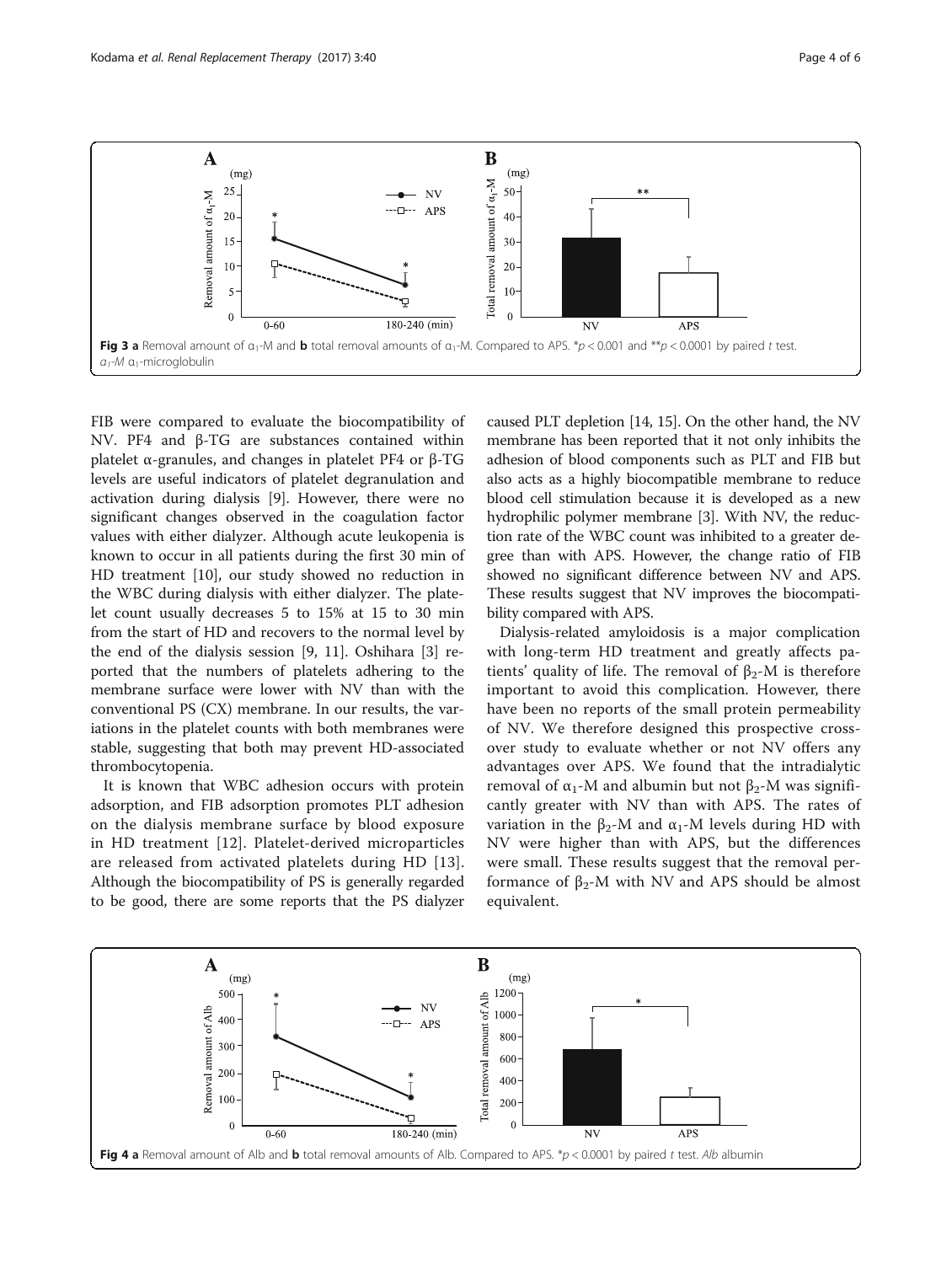<span id="page-3-0"></span>

FIB were compared to evaluate the biocompatibility of NV. PF4 and β-TG are substances contained within platelet α-granules, and changes in platelet PF4 or β-TG levels are useful indicators of platelet degranulation and activation during dialysis [[9\]](#page-5-0). However, there were no significant changes observed in the coagulation factor values with either dialyzer. Although acute leukopenia is known to occur in all patients during the first 30 min of HD treatment [[10\]](#page-5-0), our study showed no reduction in the WBC during dialysis with either dialyzer. The platelet count usually decreases 5 to 15% at 15 to 30 min from the start of HD and recovers to the normal level by the end of the dialysis session [[9, 11\]](#page-5-0). Oshihara [[3\]](#page-4-0) reported that the numbers of platelets adhering to the membrane surface were lower with NV than with the conventional PS (CX) membrane. In our results, the variations in the platelet counts with both membranes were stable, suggesting that both may prevent HD-associated thrombocytopenia.

It is known that WBC adhesion occurs with protein adsorption, and FIB adsorption promotes PLT adhesion on the dialysis membrane surface by blood exposure in HD treatment [[12\]](#page-5-0). Platelet-derived microparticles are released from activated platelets during HD [[13](#page-5-0)]. Although the biocompatibility of PS is generally regarded to be good, there are some reports that the PS dialyzer caused PLT depletion [[14](#page-5-0), [15\]](#page-5-0). On the other hand, the NV membrane has been reported that it not only inhibits the adhesion of blood components such as PLT and FIB but also acts as a highly biocompatible membrane to reduce blood cell stimulation because it is developed as a new hydrophilic polymer membrane [[3](#page-4-0)]. With NV, the reduction rate of the WBC count was inhibited to a greater degree than with APS. However, the change ratio of FIB showed no significant difference between NV and APS. These results suggest that NV improves the biocompatibility compared with APS.

Dialysis-related amyloidosis is a major complication with long-term HD treatment and greatly affects patients' quality of life. The removal of  $\beta_2$ -M is therefore important to avoid this complication. However, there have been no reports of the small protein permeability of NV. We therefore designed this prospective crossover study to evaluate whether or not NV offers any advantages over APS. We found that the intradialytic removal of  $α_1$ -M and albumin but not  $β_2$ -M was significantly greater with NV than with APS. The rates of variation in the  $β_2$ -M and  $α_1$ -M levels during HD with NV were higher than with APS, but the differences were small. These results suggest that the removal performance of  $β_2$ -M with NV and APS should be almost equivalent.

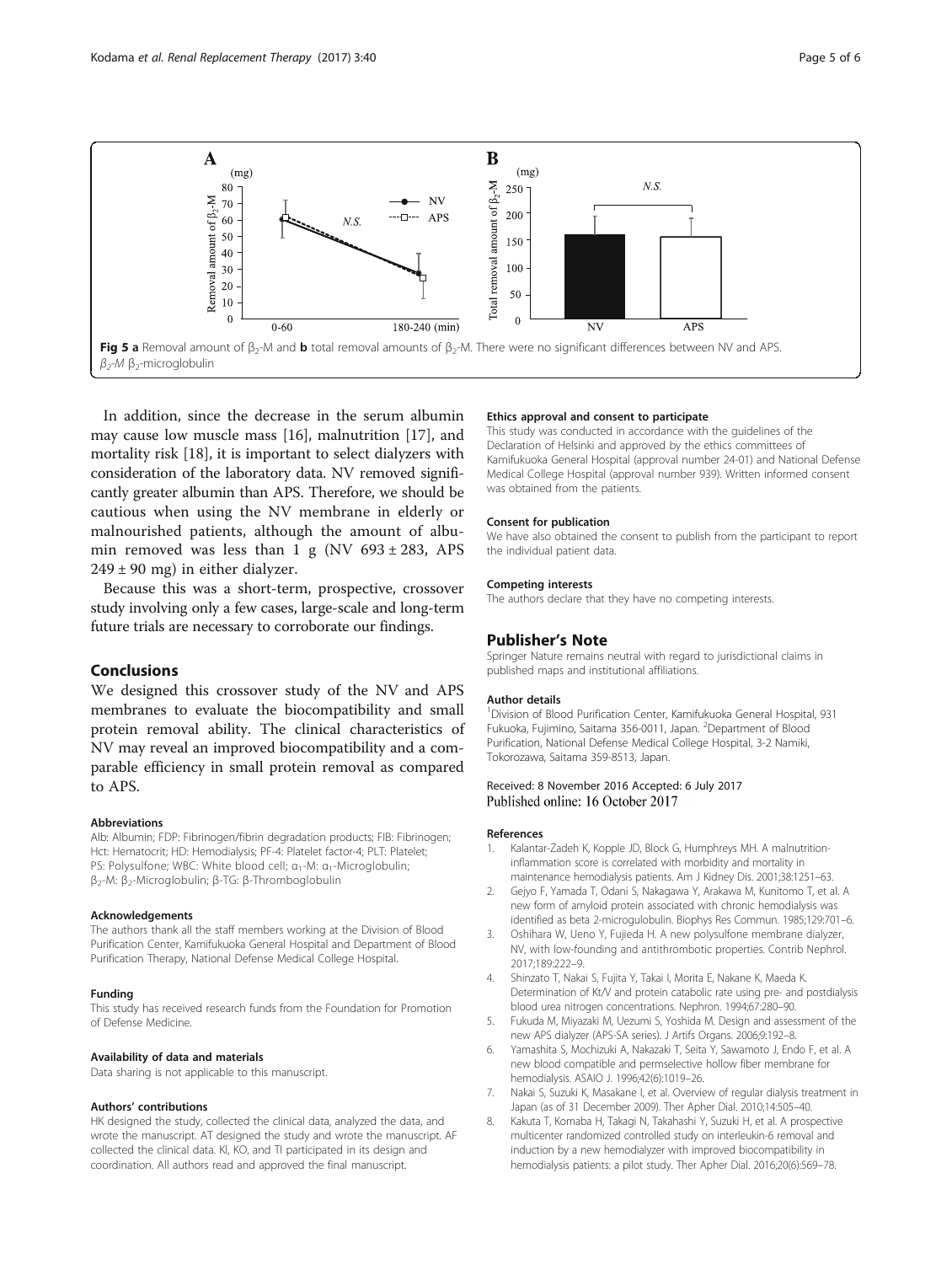<span id="page-4-0"></span>

In addition, since the decrease in the serum albumin may cause low muscle mass [\[16\]](#page-5-0), malnutrition [[17\]](#page-5-0), and mortality risk [[18\]](#page-5-0), it is important to select dialyzers with consideration of the laboratory data. NV removed significantly greater albumin than APS. Therefore, we should be cautious when using the NV membrane in elderly or malnourished patients, although the amount of albumin removed was less than 1 g (NV  $693 \pm 283$ , APS  $249 \pm 90$  mg) in either dialyzer.

Because this was a short-term, prospective, crossover study involving only a few cases, large-scale and long-term future trials are necessary to corroborate our findings.

# Conclusions

We designed this crossover study of the NV and APS membranes to evaluate the biocompatibility and small protein removal ability. The clinical characteristics of NV may reveal an improved biocompatibility and a comparable efficiency in small protein removal as compared to APS.

#### Abbreviations

Alb: Albumin; FDP: Fibrinogen/fibrin degradation products; FIB: Fibrinogen; Hct: Hematocrit; HD: Hemodialysis; PF-4: Platelet factor-4; PLT: Platelet; PS: Polysulfone; WBC: White blood cell; α<sub>1</sub>-M: α<sub>1</sub>-Microglobulin; β2-M: β2-Microglobulin; β-TG: β-Thromboglobulin

#### Acknowledgements

The authors thank all the staff members working at the Division of Blood Purification Center, Kamifukuoka General Hospital and Department of Blood Purification Therapy, National Defense Medical College Hospital.

#### Funding

This study has received research funds from the Foundation for Promotion of Defense Medicine.

#### Availability of data and materials

Data sharing is not applicable to this manuscript.

#### Authors' contributions

HK designed the study, collected the clinical data, analyzed the data, and wrote the manuscript. AT designed the study and wrote the manuscript. AF collected the clinical data. KI, KO, and TI participated in its design and coordination. All authors read and approved the final manuscript.

#### Ethics approval and consent to participate

This study was conducted in accordance with the guidelines of the Declaration of Helsinki and approved by the ethics committees of Kamifukuoka General Hospital (approval number 24-01) and National Defense Medical College Hospital (approval number 939). Written informed consent was obtained from the patients.

#### Consent for publication

We have also obtained the consent to publish from the participant to report the individual patient data.

#### Competing interests

The authors declare that they have no competing interests.

#### Publisher's Note

Springer Nature remains neutral with regard to jurisdictional claims in published maps and institutional affiliations.

#### Author details

<sup>1</sup> Division of Blood Purification Center, Kamifukuoka General Hospital, 931 Fukuoka, Fujimino, Saitama 356-0011, Japan. <sup>2</sup>Department of Blood Purification, National Defense Medical College Hospital, 3-2 Namiki, Tokorozawa, Saitama 359-8513, Japan.

### Received: 8 November 2016 Accepted: 6 July 2017 Published online: 16 October 2017

#### References

- 1. Kalantar-Zadeh K, Kopple JD, Block G, Humphreys MH. A malnutritioninflammation score is correlated with morbidity and mortality in maintenance hemodialysis patients. Am J Kidney Dis. 2001;38:1251–63.
- 2. Gejyo F, Yamada T, Odani S, Nakagawa Y, Arakawa M, Kunitomo T, et al. A new form of amyloid protein associated with chronic hemodialysis was identified as beta 2-microgulobulin. Biophys Res Commun. 1985;129:701–6.
- 3. Oshihara W, Ueno Y, Fujieda H. A new polysulfone membrane dialyzer, NV, with low-founding and antithrombotic properties. Contrib Nephrol. 2017;189:222–9.
- 4. Shinzato T, Nakai S, Fujita Y, Takai I, Morita E, Nakane K, Maeda K. Determination of Kt/V and protein catabolic rate using pre- and postdialysis blood urea nitrogen concentrations. Nephron. 1994;67:280–90.
- 5. Fukuda M, Miyazaki M, Uezumi S, Yoshida M. Design and assessment of the new APS dialyzer (APS-SA series). J Artifs Organs. 2006;9:192–8.
- 6. Yamashita S, Mochizuki A, Nakazaki T, Seita Y, Sawamoto J, Endo F, et al. A new blood compatible and permselective hollow fiber membrane for hemodialysis. ASAIO J. 1996;42(6):1019–26.
- 7. Nakai S, Suzuki K, Masakane I, et al. Overview of regular dialysis treatment in Japan (as of 31 December 2009). Ther Apher Dial. 2010;14:505–40.
- 8. Kakuta T, Komaba H, Takagi N, Takahashi Y, Suzuki H, et al. A prospective multicenter randomized controlled study on interleukin-6 removal and induction by a new hemodialyzer with improved biocompatibility in hemodialysis patients: a pilot study. Ther Apher Dial. 2016;20(6):569–78.